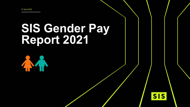# **SIS Gender Pay Report 2021**



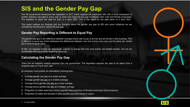## **SIS and the Gender Pay Gap**

The UK government introduced new legislation in 2017 which requires UK employers with 250 or more employees to publish statutory calculations every year to show how large the pay gap is between their male and female employees. The deadline to report the data for 2021 is 4 April 2022. This is the report for the data taken at 5 April 2021.

This report outlines our findings and our thoughts about the gender pay gap at SIS and some initiatives we are considering introducing to reduce the pay gap.

#### **Gender Pay Reporting is Different to Equal Pay**

The gender pay gap is the difference between average hourly rate of pay of all men and all women in the business. This is different to equal pay which addresses the differences between men and women who carry out the same job, similar job or work of equal value.

At SIS, we regularly review our employees' salaries to ensure that men and women are treated equally, and we are comfortable with our position regarding equal pay.

#### **Calculating the Gender Pay Gap**

There are six statutory metrics required from the government. The legislation requires the data to be taken from a snapshot date of 5 April each year.

An employer must publish six calculations showing their:

- Average gender pay gap as a mean average.
- 2. Average gender pay gap as a median average.
- 3. Average bonus gender pay gap as a mean average.
- 4. Average bonus gender pay gap as a median average.
- 5. Proportion of males receiving a bonus payment and proportion of females receiving a bonus payment.
- 6. Proportion of males and females in each quartile pay band (lower to upper)

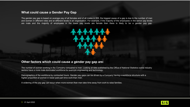#### **What could cause a Gender Pay Gap**

The gender pay gap is based on average pay of all females and of all males in SIS, the biggest cause of a gap is due to the number of men and women in different roles and at different levels in an organisation. For example, if the majority of the employees in the senior pay levels are male and the majority of employees in the lower pay levels are female then there is likely to be a gender pay gap.



#### **Other factors which could cause a gender pay gap are:**

The number of women working in the Company compared to men. Looking at data published by the Office of National Statistics some industry sectors have a more male dominated workforce for example engineering and technology.

Demographics of the workforce by contracted hours. Gender pay gaps can be driven by a Company having a workforce structure with a higher proportion of women in lower paid part time work than men.

A widening of the pay gap can occur when more women than men take time away from work to raise families.



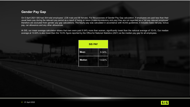### **Gender Pay Gap**

On 5 April 2021 SIS had 304 total employees' (238 male and 66 female). For the purposes of Gender Pay Gap calculation, if employees are paid less than their usual basic pay during the relevant pay period as a result of being on leave (maternity/statutory sick pay) they are not regarded as a 'full pay relevant employee' therefore are excluded from gender pay gap calculations. The hourly pay was calculated in accordance with ACAS guidelines, it includes basic net pay, bonus pay, car allowance and any other allowances.

At SIS, our mean average calculation shows that men were paid 9.34% more than women, significantly lower than the national average of 15.4%. Our median average at 13.02% is also lower than the 15.5% figure reported by the Office for National Statistics (2021) as the median pay gap for all employees.

| <b>SIS PAY</b> |        |
|----------------|--------|
| <b>Mean</b>    | 9.34%  |
| <b>Median</b>  | 13.02% |
|                |        |

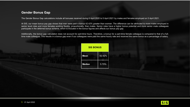#### **Gender Bonus Gap**

The Gender Bonus Gap calculations include all bonuses received during 6 April 2020 to 5 April 2021 by males and females employed on 5 April 2021.

At SIS, our mean bonus pay gap shows that men were paid a bonus 42.42% greater than women. The difference can be attributed to more males employed in senior level roles and more females working flexibly, proportionally, then males. Senior roles have a higher bonus potential and more senior male colleagues participate in the deferred bonus scheme, which is included in the bonus figures and affects our bonus pay gap.

Additionally, the bonus gap calculation does not account for part-time hours. Therefore, a bonus for a part-time female colleague is compared to that of a fulltime male colleague. This results in a bonus gap even if our colleagues were paid the same hourly rate and received the same bonus as a percentage of salary.

| <b>SIS BONUS</b> |        |
|------------------|--------|
| <b>Mean</b>      | 42.42% |
| <b>Median</b>    | 5.79%  |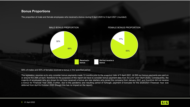#### **Bonus Proportions**

The proportion of male and female employees who received a bonus during 6 April 2020 to 5 April 2021 (rounded):



68% of males and 83% of females received a bonus in the specified period.

The legislation requires us to only consider bonus payments made 12 months prior to the snapshot date of 5 April 2021. At SIS our bonus payments are paid on or around the 25th of April, therefore for the purposes of this report we have to consider bonus payment data from the prior year (April 2020). Consequently, the majority of employees who are shown to not have received a bonus are new starters who joined the company from January 2021 and therefore did not receive a bonus for Financial Year 2020. Further, due to the pandemic and resulting period of furlough, payment of bonuses for the 2020/2021 Financial Year was deferred from April to October 2020 (though this has no impact on the report).

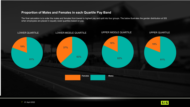### **Proportion of Males and Females in each Quartile Pay Band**

The final calculation is to order the males and females from lowest to highest pay and split into four groups. The below illustrates the gender distribution at SIS when employees are placed in equally sized quartiles based on pay.